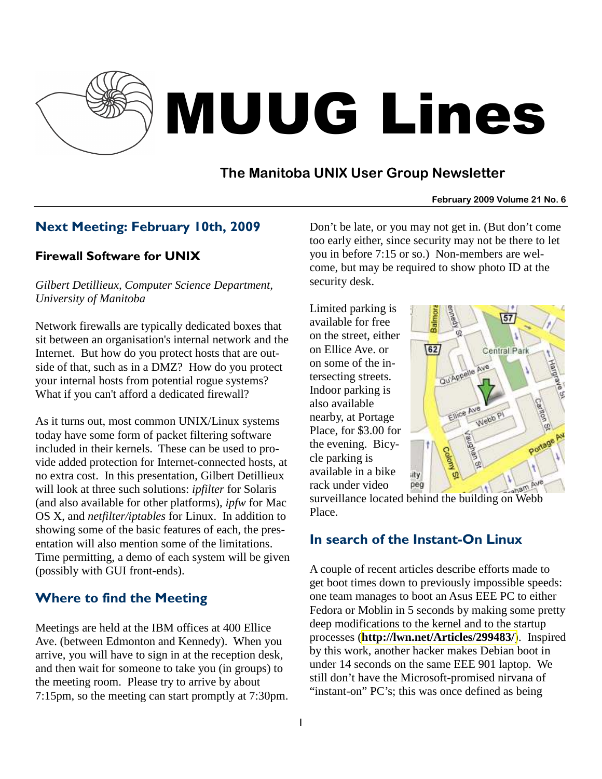

# MUUG Lines

# **The Manitoba UNIX User Group Newsletter**

#### **February 2009 Volume 21 No. 6**

## Next Meeting: February 10th, 2009

#### Firewall Software for UNIX

*Gilbert Detillieux, Computer Science Department, University of Manitoba* 

Network firewalls are typically dedicated boxes that sit between an organisation's internal network and the Internet. But how do you protect hosts that are outside of that, such as in a DMZ? How do you protect your internal hosts from potential rogue systems? What if you can't afford a dedicated firewall?

As it turns out, most common UNIX/Linux systems today have some form of packet filtering software included in their kernels. These can be used to provide added protection for Internet-connected hosts, at no extra cost. In this presentation, Gilbert Detillieux will look at three such solutions: *ipfilter* for Solaris (and also available for other platforms), *ipfw* for Mac OS X, and *netfilter/iptables* for Linux. In addition to showing some of the basic features of each, the presentation will also mention some of the limitations. Time permitting, a demo of each system will be given (possibly with GUI front-ends).

# Where to find the Meeting

Meetings are held at the IBM offices at 400 Ellice Ave. (between Edmonton and Kennedy). When you arrive, you will have to sign in at the reception desk, and then wait for someone to take you (in groups) to the meeting room. Please try to arrive by about 7:15pm, so the meeting can start promptly at 7:30pm. Don't be late, or you may not get in. (But don't come too early either, since security may not be there to let you in before 7:15 or so.) Non-members are welcome, but may be required to show photo ID at the security desk.

Limited parking is available for free on the street, either on Ellice Ave. or on some of the intersecting streets. Indoor parking is also available nearby, at Portage Place, for \$3.00 for the evening. Bicycle parking is available in a bike rack under video



surveillance located behind the building on Webb Place.

## In search of the Instant-On Linux

A couple of recent articles describe efforts made to get boot times down to previously impossible speeds: one team manages to boot an Asus EEE PC to either Fedora or Moblin in 5 seconds by making some pretty deep modifications to the kernel and to the startup processes (**<http://lwn.net/Articles/299483/>**). Inspired by this work, another hacker makes Debian boot in under 14 seconds on the same EEE 901 laptop. We still don't have the Microsoft-promised nirvana of "instant-on" PC's; this was once defined as being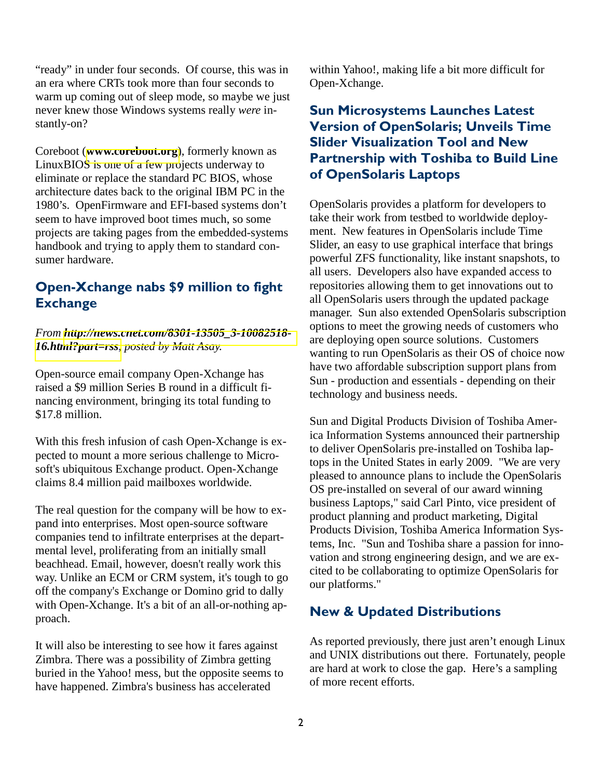"ready" in under four seconds. Of course, this was in an era where CRTs took more than four seconds to warm up coming out of sleep mode, so maybe we just never knew those Windows systems really *were* instantly-on?

Coreboot (**[www.coreboot.org](http://www.coreboot.org/)**), formerly known as LinuxBIOS is one of a few projects underway to eliminate or replace the standard PC BIOS, whose architecture dates back to the original IBM PC in the 1980's. OpenFirmware and EFI-based systems don't seem to have improved boot times much, so some projects are taking pages from the embedded-systems handbook and trying to apply them to standard consumer hardware.

## Open-Xchange nabs \$9 million to fight **Exchange**

*From [http://news.cnet.com/8301-13505\\_3-10082518-](http://news.cnet.com/8301-13505_3-10082518-16.html?part=rss) [16.html?part=rss](http://news.cnet.com/8301-13505_3-10082518-16.html?part=rss), posted by Matt Asay.* 

Open-source email company Open-Xchange has raised a \$9 million Series B round in a difficult financing environment, bringing its total funding to \$17.8 million.

With this fresh infusion of cash Open-Xchange is expected to mount a more serious challenge to Microsoft's ubiquitous Exchange product. Open-Xchange claims 8.4 million paid mailboxes worldwide.

The real question for the company will be how to expand into enterprises. Most open-source software companies tend to infiltrate enterprises at the departmental level, proliferating from an initially small beachhead. Email, however, doesn't really work this way. Unlike an ECM or CRM system, it's tough to go off the company's Exchange or Domino grid to dally with Open-Xchange. It's a bit of an all-or-nothing approach.

It will also be interesting to see how it fares against Zimbra. There was a possibility of Zimbra getting buried in the Yahoo! mess, but the opposite seems to have happened. Zimbra's business has accelerated

within Yahoo!, making life a bit more difficult for Open-Xchange.

## Sun Microsystems Launches Latest Version of OpenSolaris; Unveils Time Slider Visualization Tool and New Partnership with Toshiba to Build Line of OpenSolaris Laptops

OpenSolaris provides a platform for developers to take their work from testbed to worldwide deployment. New features in OpenSolaris include Time Slider, an easy to use graphical interface that brings powerful ZFS functionality, like instant snapshots, to all users. Developers also have expanded access to repositories allowing them to get innovations out to all OpenSolaris users through the updated package manager. Sun also extended OpenSolaris subscription options to meet the growing needs of customers who are deploying open source solutions. Customers wanting to run OpenSolaris as their OS of choice now have two affordable subscription support plans from Sun - production and essentials - depending on their technology and business needs.

Sun and Digital Products Division of Toshiba America Information Systems announced their partnership to deliver OpenSolaris pre-installed on Toshiba laptops in the United States in early 2009. "We are very pleased to announce plans to include the OpenSolaris OS pre-installed on several of our award winning business Laptops," said Carl Pinto, vice president of product planning and product marketing, Digital Products Division, Toshiba America Information Systems, Inc. "Sun and Toshiba share a passion for innovation and strong engineering design, and we are excited to be collaborating to optimize OpenSolaris for our platforms."

## New & Updated Distributions

As reported previously, there just aren't enough Linux and UNIX distributions out there. Fortunately, people are hard at work to close the gap. Here's a sampling of more recent efforts.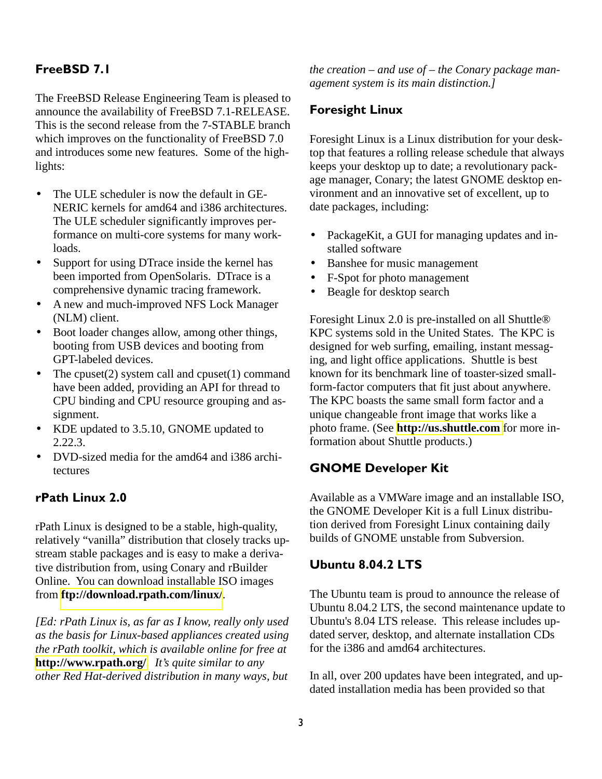### FreeBSD 7.1

The FreeBSD Release Engineering Team is pleased to announce the availability of FreeBSD 7.1-RELEASE. This is the second release from the 7-STABLE branch which improves on the functionality of FreeBSD 7.0 and introduces some new features. Some of the highlights:

- The ULE scheduler is now the default in GE-NERIC kernels for amd64 and i386 architectures. The ULE scheduler significantly improves performance on multi-core systems for many workloads.
- Support for using DTrace inside the kernel has been imported from OpenSolaris. DTrace is a comprehensive dynamic tracing framework.
- A new and much-improved NFS Lock Manager (NLM) client.
- Boot loader changes allow, among other things, booting from USB devices and booting from GPT-labeled devices.
- The cpuset(2) system call and cpuset(1) command have been added, providing an API for thread to CPU binding and CPU resource grouping and assignment.
- KDE updated to 3.5.10, GNOME updated to 2.22.3.
- DVD-sized media for the amd64 and i386 architectures

#### rPath Linux 2.0

rPath Linux is designed to be a stable, high-quality, relatively "vanilla" distribution that closely tracks upstream stable packages and is easy to make a derivative distribution from, using Conary and rBuilder Online. You can download installable ISO images from **<ftp://download.rpath.com/linux/>**.

*[Ed: rPath Linux is, as far as I know, really only used as the basis for Linux-based appliances created using the rPath toolkit, which is available online for free at*  **<http://www.rpath.org/>***. It's quite similar to any other Red Hat-derived distribution in many ways, but* 

*the creation – and use of – the Conary package management system is its main distinction.]* 

#### Foresight Linux

Foresight Linux is a Linux distribution for your desktop that features a rolling release schedule that always keeps your desktop up to date; a revolutionary package manager, Conary; the latest GNOME desktop environment and an innovative set of excellent, up to date packages, including:

- PackageKit, a GUI for managing updates and installed software
- Banshee for music management
- F-Spot for photo management
- Beagle for desktop search

Foresight Linux 2.0 is pre-installed on all Shuttle® KPC systems sold in the United States. The KPC is designed for web surfing, emailing, instant messaging, and light office applications. Shuttle is best known for its benchmark line of toaster-sized smallform-factor computers that fit just about anywhere. The KPC boasts the same small form factor and a unique changeable front image that works like a photo frame. (See **[http://us.shuttle.com](http://us.shuttle.com/)** for more information about Shuttle products.)

#### GNOME Developer Kit

Available as a VMWare image and an installable ISO, the GNOME Developer Kit is a full Linux distribution derived from Foresight Linux containing daily builds of GNOME unstable from Subversion.

#### Ubuntu 8.04.2 LTS

The Ubuntu team is proud to announce the release of Ubuntu 8.04.2 LTS, the second maintenance update to Ubuntu's 8.04 LTS release. This release includes updated server, desktop, and alternate installation CDs for the i386 and amd64 architectures.

In all, over 200 updates have been integrated, and updated installation media has been provided so that